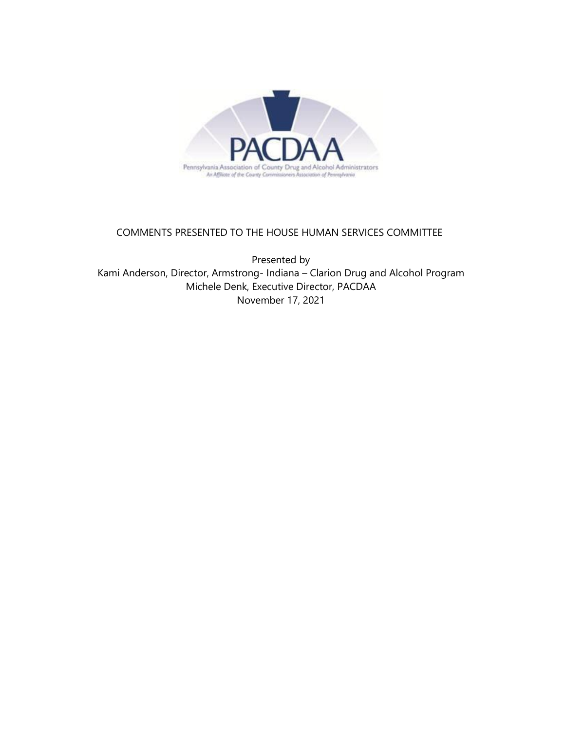

## COMMENTS PRESENTED TO THE HOUSE HUMAN SERVICES COMMITTEE

Presented by Kami Anderson, Director, Armstrong- Indiana – Clarion Drug and Alcohol Program Michele Denk, Executive Director, PACDAA November 17, 2021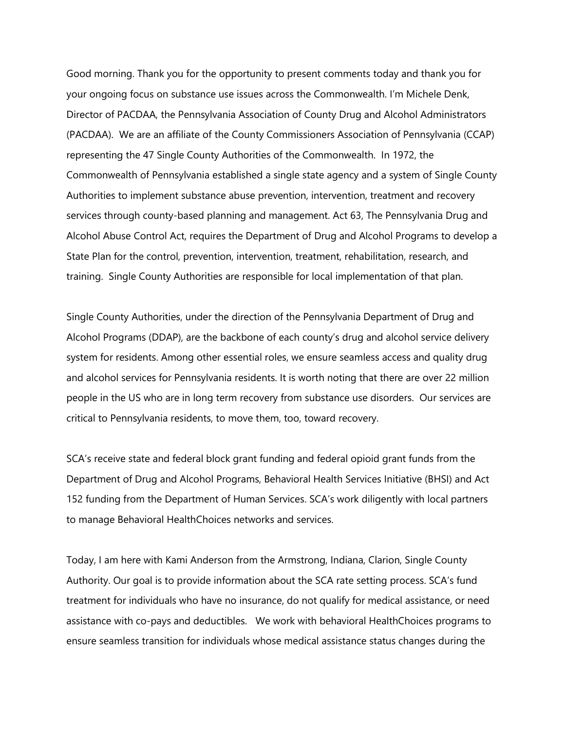Good morning. Thank you for the opportunity to present comments today and thank you for your ongoing focus on substance use issues across the Commonwealth. I'm Michele Denk, Director of PACDAA, the Pennsylvania Association of County Drug and Alcohol Administrators (PACDAA). We are an affiliate of the County Commissioners Association of Pennsylvania (CCAP) representing the 47 Single County Authorities of the Commonwealth. In 1972, the Commonwealth of Pennsylvania established a single state agency and a system of Single County Authorities to implement substance abuse prevention, intervention, treatment and recovery services through county-based planning and management. Act 63, The Pennsylvania Drug and Alcohol Abuse Control Act, requires the Department of Drug and Alcohol Programs to develop a State Plan for the control, prevention, intervention, treatment, rehabilitation, research, and training. Single County Authorities are responsible for local implementation of that plan.

Single County Authorities, under the direction of the Pennsylvania Department of Drug and Alcohol Programs (DDAP), are the backbone of each county's drug and alcohol service delivery system for residents. Among other essential roles, we ensure seamless access and quality drug and alcohol services for Pennsylvania residents. It is worth noting that there are over 22 million people in the US who are in long term recovery from substance use disorders. Our services are critical to Pennsylvania residents, to move them, too, toward recovery.

SCA's receive state and federal block grant funding and federal opioid grant funds from the Department of Drug and Alcohol Programs, Behavioral Health Services Initiative (BHSI) and Act 152 funding from the Department of Human Services. SCA's work diligently with local partners to manage Behavioral HealthChoices networks and services.

Today, I am here with Kami Anderson from the Armstrong, Indiana, Clarion, Single County Authority. Our goal is to provide information about the SCA rate setting process. SCA's fund treatment for individuals who have no insurance, do not qualify for medical assistance, or need assistance with co-pays and deductibles. We work with behavioral HealthChoices programs to ensure seamless transition for individuals whose medical assistance status changes during the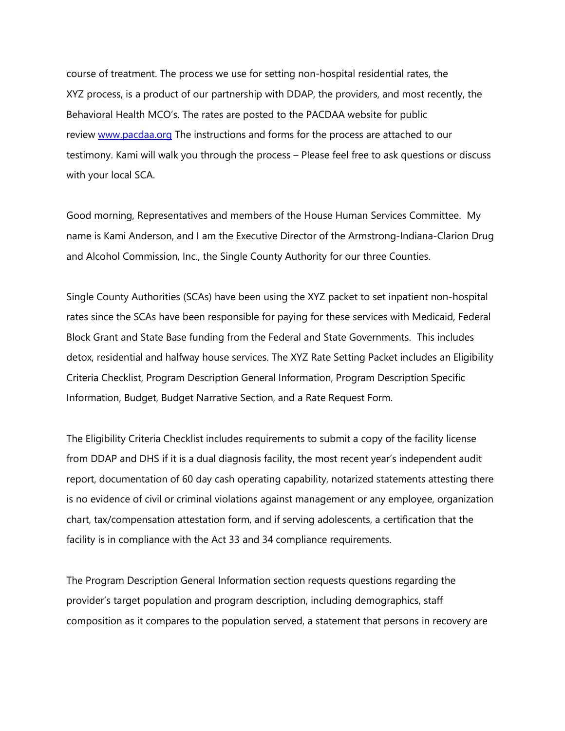course of treatment. The process we use for setting non-hospital residential rates, the XYZ process, is a product of our partnership with DDAP, the providers, and most recently, the Behavioral Health MCO's. The rates are posted to the PACDAA website for public review [www.pacdaa.org](http://www.pacdaa.org/) The instructions and forms for the process are attached to our testimony. Kami will walk you through the process – Please feel free to ask questions or discuss with your local SCA.

Good morning, Representatives and members of the House Human Services Committee. My name is Kami Anderson, and I am the Executive Director of the Armstrong-Indiana-Clarion Drug and Alcohol Commission, Inc., the Single County Authority for our three Counties.

Single County Authorities (SCAs) have been using the XYZ packet to set inpatient non-hospital rates since the SCAs have been responsible for paying for these services with Medicaid, Federal Block Grant and State Base funding from the Federal and State Governments. This includes detox, residential and halfway house services. The XYZ Rate Setting Packet includes an Eligibility Criteria Checklist, Program Description General Information, Program Description Specific Information, Budget, Budget Narrative Section, and a Rate Request Form.

The Eligibility Criteria Checklist includes requirements to submit a copy of the facility license from DDAP and DHS if it is a dual diagnosis facility, the most recent year's independent audit report, documentation of 60 day cash operating capability, notarized statements attesting there is no evidence of civil or criminal violations against management or any employee, organization chart, tax/compensation attestation form, and if serving adolescents, a certification that the facility is in compliance with the Act 33 and 34 compliance requirements.

The Program Description General Information section requests questions regarding the provider's target population and program description, including demographics, staff composition as it compares to the population served, a statement that persons in recovery are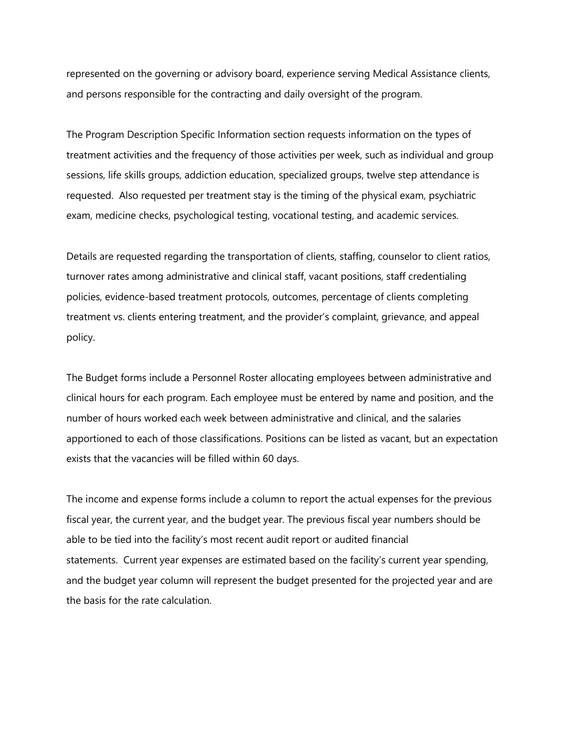represented on the governing or advisory board, experience serving Medical Assistance clients, and persons responsible for the contracting and daily oversight of the program.

The Program Description Specific Information section requests information on the types of treatment activities and the frequency of those activities per week, such as individual and group sessions, life skills groups, addiction education, specialized groups, twelve step attendance is requested. Also requested per treatment stay is the timing of the physical exam, psychiatric exam, medicine checks, psychological testing, vocational testing, and academic services.

Details are requested regarding the transportation of clients, staffing, counselor to client ratios, turnover rates among administrative and clinical staff, vacant positions, staff credentialing policies, evidence-based treatment protocols, outcomes, percentage of clients completing treatment vs. clients entering treatment, and the provider's complaint, grievance, and appeal policy.

The Budget forms include a Personnel Roster allocating employees between administrative and clinical hours for each program. Each employee must be entered by name and position, and the number of hours worked each week between administrative and clinical, and the salaries apportioned to each of those classifications. Positions can be listed as vacant, but an expectation exists that the vacancies will be filled within 60 days.

The income and expense forms include a column to report the actual expenses for the previous fiscal year, the current year, and the budget year. The previous fiscal year numbers should be able to be tied into the facility's most recent audit report or audited financial statements. Current year expenses are estimated based on the facility's current year spending, and the budget year column will represent the budget presented for the projected year and are the basis for the rate calculation.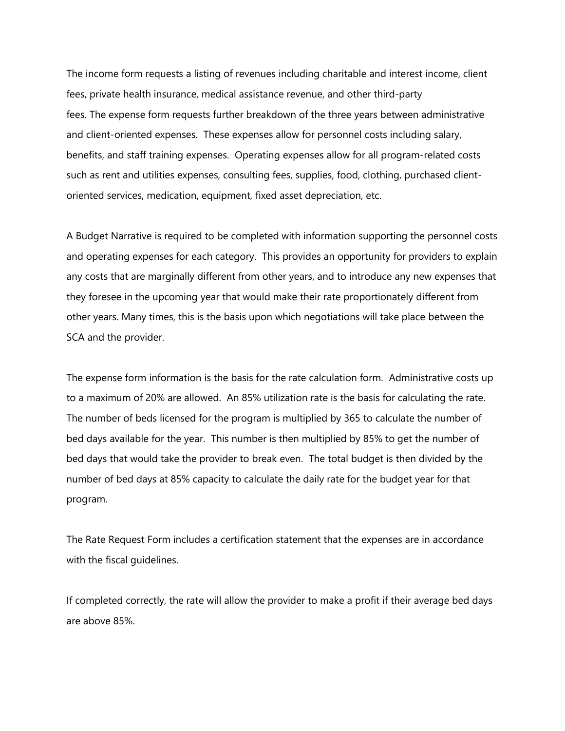The income form requests a listing of revenues including charitable and interest income, client fees, private health insurance, medical assistance revenue, and other third-party fees. The expense form requests further breakdown of the three years between administrative and client-oriented expenses. These expenses allow for personnel costs including salary, benefits, and staff training expenses. Operating expenses allow for all program-related costs such as rent and utilities expenses, consulting fees, supplies, food, clothing, purchased clientoriented services, medication, equipment, fixed asset depreciation, etc.

A Budget Narrative is required to be completed with information supporting the personnel costs and operating expenses for each category. This provides an opportunity for providers to explain any costs that are marginally different from other years, and to introduce any new expenses that they foresee in the upcoming year that would make their rate proportionately different from other years. Many times, this is the basis upon which negotiations will take place between the SCA and the provider.

The expense form information is the basis for the rate calculation form. Administrative costs up to a maximum of 20% are allowed. An 85% utilization rate is the basis for calculating the rate. The number of beds licensed for the program is multiplied by 365 to calculate the number of bed days available for the year. This number is then multiplied by 85% to get the number of bed days that would take the provider to break even. The total budget is then divided by the number of bed days at 85% capacity to calculate the daily rate for the budget year for that program.

The Rate Request Form includes a certification statement that the expenses are in accordance with the fiscal guidelines.

If completed correctly, the rate will allow the provider to make a profit if their average bed days are above 85%.